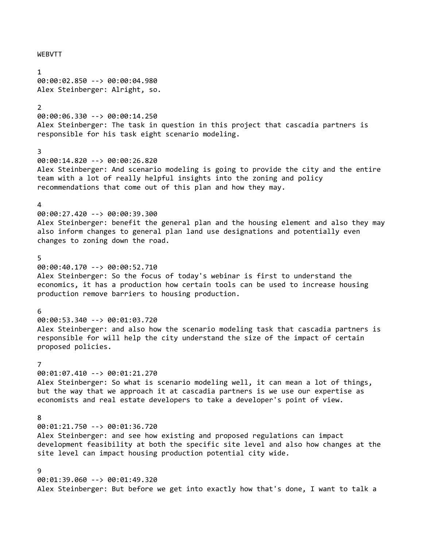### WEBVTT

1 00:00:02.850 --> 00:00:04.980 Alex Steinberger: Alright, so.

### 2

00:00:06.330 --> 00:00:14.250 Alex Steinberger: The task in question in this project that cascadia partners is responsible for his task eight scenario modeling.

### 3

00:00:14.820 --> 00:00:26.820 Alex Steinberger: And scenario modeling is going to provide the city and the entire team with a lot of really helpful insights into the zoning and policy recommendations that come out of this plan and how they may.

### $\lambda$

00:00:27.420 --> 00:00:39.300 Alex Steinberger: benefit the general plan and the housing element and also they may also inform changes to general plan land use designations and potentially even changes to zoning down the road.

### 5

00:00:40.170 --> 00:00:52.710 Alex Steinberger: So the focus of today's webinar is first to understand the economics, it has a production how certain tools can be used to increase housing production remove barriers to housing production.

#### 6

00:00:53.340 --> 00:01:03.720 Alex Steinberger: and also how the scenario modeling task that cascadia partners is responsible for will help the city understand the size of the impact of certain proposed policies.

### 7

00:01:07.410 --> 00:01:21.270 Alex Steinberger: So what is scenario modeling well, it can mean a lot of things, but the way that we approach it at cascadia partners is we use our expertise as economists and real estate developers to take a developer's point of view.

# 8

00:01:21.750 --> 00:01:36.720

Alex Steinberger: and see how existing and proposed regulations can impact development feasibility at both the specific site level and also how changes at the site level can impact housing production potential city wide.

# 9

00:01:39.060 --> 00:01:49.320 Alex Steinberger: But before we get into exactly how that's done, I want to talk a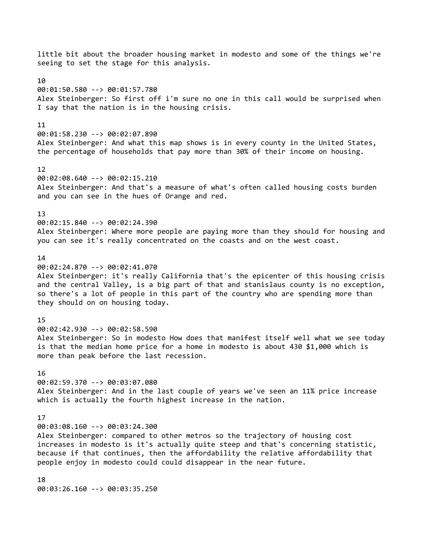little bit about the broader housing market in modesto and some of the things we're seeing to set the stage for this analysis. 10 00:01:50.580 --> 00:01:57.780 Alex Steinberger: So first off i'm sure no one in this call would be surprised when I say that the nation is in the housing crisis. 11 00:01:58.230 --> 00:02:07.890 Alex Steinberger: And what this map shows is in every county in the United States, the percentage of households that pay more than 30% of their income on housing. 12 00:02:08.640 --> 00:02:15.210 Alex Steinberger: And that's a measure of what's often called housing costs burden and you can see in the hues of Orange and red. 13 00:02:15.840 --> 00:02:24.390 Alex Steinberger: Where more people are paying more than they should for housing and you can see it's really concentrated on the coasts and on the west coast.  $14$ 00:02:24.870 --> 00:02:41.070 Alex Steinberger: it's really California that's the epicenter of this housing crisis and the central Valley, is a big part of that and stanislaus county is no exception, so there's a lot of people in this part of the country who are spending more than they should on on housing today. 15 00:02:42.930 --> 00:02:58.590 Alex Steinberger: So in modesto How does that manifest itself well what we see today is that the median home price for a home in modesto is about 430 \$1,000 which is more than peak before the last recession. 16 00:02:59.370 --> 00:03:07.080 Alex Steinberger: And in the last couple of years we've seen an 11% price increase which is actually the fourth highest increase in the nation. 17 00:03:08.160 --> 00:03:24.300 Alex Steinberger: compared to other metros so the trajectory of housing cost increases in modesto is it's actually quite steep and that's concerning statistic, because if that continues, then the affordability the relative affordability that people enjoy in modesto could could disappear in the near future. 18

00:03:26.160 --> 00:03:35.250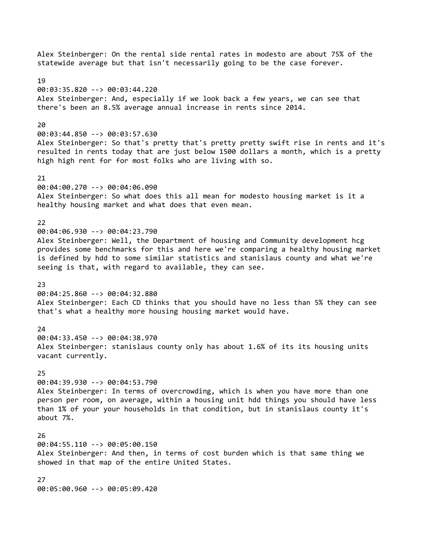statewide average but that isn't necessarily going to be the case forever. 19 00:03:35.820 --> 00:03:44.220 Alex Steinberger: And, especially if we look back a few years, we can see that there's been an 8.5% average annual increase in rents since 2014.  $20$ 00:03:44.850 --> 00:03:57.630 Alex Steinberger: So that's pretty that's pretty pretty swift rise in rents and it's resulted in rents today that are just below 1500 dollars a month, which is a pretty high high rent for for most folks who are living with so. 21 00:04:00.270 --> 00:04:06.090 Alex Steinberger: So what does this all mean for modesto housing market is it a healthy housing market and what does that even mean. 22 00:04:06.930 --> 00:04:23.790 Alex Steinberger: Well, the Department of housing and Community development hcg provides some benchmarks for this and here we're comparing a healthy housing market is defined by hdd to some similar statistics and stanislaus county and what we're seeing is that, with regard to available, they can see. 23 00:04:25.860 --> 00:04:32.880 Alex Steinberger: Each CD thinks that you should have no less than 5% they can see that's what a healthy more housing housing market would have.  $24$ 00:04:33.450 --> 00:04:38.970 Alex Steinberger: stanislaus county only has about 1.6% of its its housing units vacant currently. 25 00:04:39.930 --> 00:04:53.790 Alex Steinberger: In terms of overcrowding, which is when you have more than one person per room, on average, within a housing unit hdd things you should have less than 1% of your your households in that condition, but in stanislaus county it's about 7%. 26 00:04:55.110 --> 00:05:00.150 Alex Steinberger: And then, in terms of cost burden which is that same thing we showed in that map of the entire United States. 27 00:05:00.960 --> 00:05:09.420

Alex Steinberger: On the rental side rental rates in modesto are about 75% of the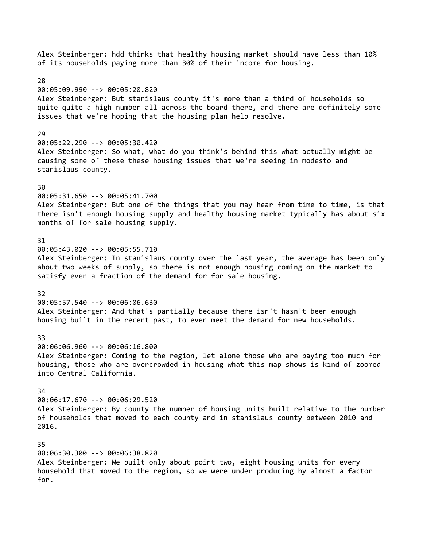Alex Steinberger: hdd thinks that healthy housing market should have less than 10% of its households paying more than 30% of their income for housing. 28 00:05:09.990 --> 00:05:20.820 Alex Steinberger: But stanislaus county it's more than a third of households so quite quite a high number all across the board there, and there are definitely some issues that we're hoping that the housing plan help resolve. 29 00:05:22.290 --> 00:05:30.420 Alex Steinberger: So what, what do you think's behind this what actually might be causing some of these these housing issues that we're seeing in modesto and stanislaus county. 30 00:05:31.650 --> 00:05:41.700 Alex Steinberger: But one of the things that you may hear from time to time, is that there isn't enough housing supply and healthy housing market typically has about six months of for sale housing supply. 31 00:05:43.020 --> 00:05:55.710 Alex Steinberger: In stanislaus county over the last year, the average has been only about two weeks of supply, so there is not enough housing coming on the market to satisfy even a fraction of the demand for for sale housing. 32 00:05:57.540 --> 00:06:06.630 Alex Steinberger: And that's partially because there isn't hasn't been enough housing built in the recent past, to even meet the demand for new households. 33 00:06:06.960 --> 00:06:16.800 Alex Steinberger: Coming to the region, let alone those who are paying too much for housing, those who are overcrowded in housing what this map shows is kind of zoomed into Central California.  $34$ 00:06:17.670 --> 00:06:29.520 Alex Steinberger: By county the number of housing units built relative to the number of households that moved to each county and in stanislaus county between 2010 and 2016. 35 00:06:30.300 --> 00:06:38.820 Alex Steinberger: We built only about point two, eight housing units for every household that moved to the region, so we were under producing by almost a factor for.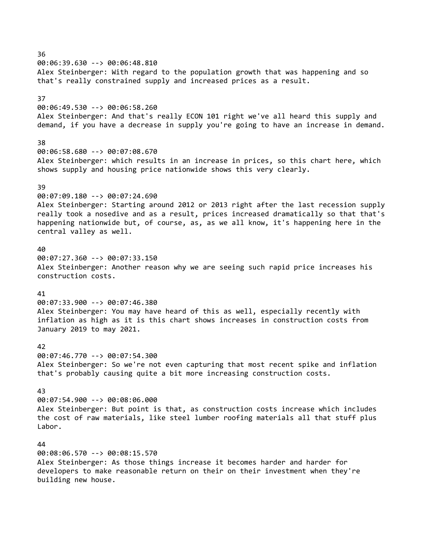36 00:06:39.630 --> 00:06:48.810 Alex Steinberger: With regard to the population growth that was happening and so that's really constrained supply and increased prices as a result. 37 00:06:49.530 --> 00:06:58.260 Alex Steinberger: And that's really ECON 101 right we've all heard this supply and demand, if you have a decrease in supply you're going to have an increase in demand. 38 00:06:58.680 --> 00:07:08.670 Alex Steinberger: which results in an increase in prices, so this chart here, which shows supply and housing price nationwide shows this very clearly. 39 00:07:09.180 --> 00:07:24.690 Alex Steinberger: Starting around 2012 or 2013 right after the last recession supply really took a nosedive and as a result, prices increased dramatically so that that's happening nationwide but, of course, as, as we all know, it's happening here in the central valley as well. 40 00:07:27.360 --> 00:07:33.150 Alex Steinberger: Another reason why we are seeing such rapid price increases his construction costs. 41 00:07:33.900 --> 00:07:46.380 Alex Steinberger: You may have heard of this as well, especially recently with inflation as high as it is this chart shows increases in construction costs from January 2019 to may 2021. 42 00:07:46.770 --> 00:07:54.300 Alex Steinberger: So we're not even capturing that most recent spike and inflation that's probably causing quite a bit more increasing construction costs. 43

00:07:54.900 --> 00:08:06.000 Alex Steinberger: But point is that, as construction costs increase which includes the cost of raw materials, like steel lumber roofing materials all that stuff plus Labor.

#### 44

00:08:06.570 --> 00:08:15.570 Alex Steinberger: As those things increase it becomes harder and harder for developers to make reasonable return on their on their investment when they're building new house.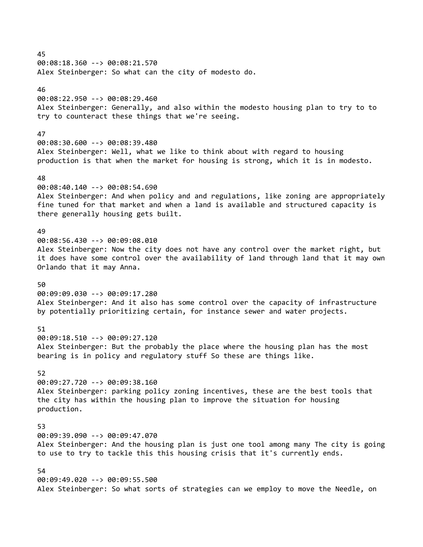45 00:08:18.360 --> 00:08:21.570 Alex Steinberger: So what can the city of modesto do. 46 00:08:22.950 --> 00:08:29.460 Alex Steinberger: Generally, and also within the modesto housing plan to try to to try to counteract these things that we're seeing. 47 00:08:30.600 --> 00:08:39.480 Alex Steinberger: Well, what we like to think about with regard to housing production is that when the market for housing is strong, which it is in modesto. 48 00:08:40.140 --> 00:08:54.690 Alex Steinberger: And when policy and and regulations, like zoning are appropriately fine tuned for that market and when a land is available and structured capacity is there generally housing gets built. 49 00:08:56.430 --> 00:09:08.010 Alex Steinberger: Now the city does not have any control over the market right, but it does have some control over the availability of land through land that it may own Orlando that it may Anna.

50

00:09:09.030 --> 00:09:17.280 Alex Steinberger: And it also has some control over the capacity of infrastructure by potentially prioritizing certain, for instance sewer and water projects.

51

00:09:18.510 --> 00:09:27.120 Alex Steinberger: But the probably the place where the housing plan has the most bearing is in policy and regulatory stuff So these are things like.

52

00:09:27.720 --> 00:09:38.160 Alex Steinberger: parking policy zoning incentives, these are the best tools that the city has within the housing plan to improve the situation for housing production.

53 00:09:39.090 --> 00:09:47.070

Alex Steinberger: And the housing plan is just one tool among many The city is going to use to try to tackle this this housing crisis that it's currently ends.

54

00:09:49.020 --> 00:09:55.500 Alex Steinberger: So what sorts of strategies can we employ to move the Needle, on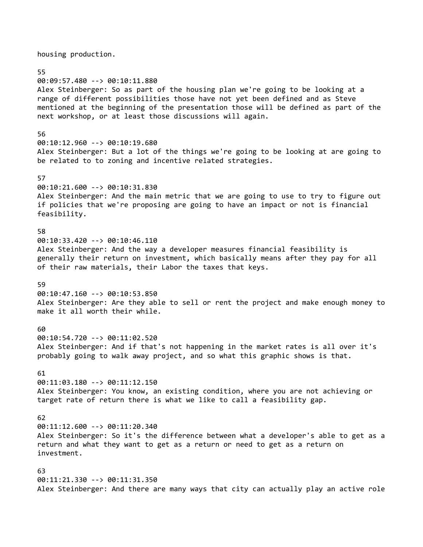housing production.

55 00:09:57.480 --> 00:10:11.880 Alex Steinberger: So as part of the housing plan we're going to be looking at a range of different possibilities those have not yet been defined and as Steve mentioned at the beginning of the presentation those will be defined as part of the next workshop, or at least those discussions will again.

#### 56

00:10:12.960 --> 00:10:19.680 Alex Steinberger: But a lot of the things we're going to be looking at are going to be related to to zoning and incentive related strategies.

# 57

00:10:21.600 --> 00:10:31.830 Alex Steinberger: And the main metric that we are going to use to try to figure out if policies that we're proposing are going to have an impact or not is financial feasibility.

# 58

00:10:33.420 --> 00:10:46.110 Alex Steinberger: And the way a developer measures financial feasibility is generally their return on investment, which basically means after they pay for all of their raw materials, their Labor the taxes that keys.

### 59

00:10:47.160 --> 00:10:53.850 Alex Steinberger: Are they able to sell or rent the project and make enough money to make it all worth their while.

### 60

00:10:54.720 --> 00:11:02.520 Alex Steinberger: And if that's not happening in the market rates is all over it's probably going to walk away project, and so what this graphic shows is that.

#### 61

00:11:03.180 --> 00:11:12.150 Alex Steinberger: You know, an existing condition, where you are not achieving or target rate of return there is what we like to call a feasibility gap.

# 62

00:11:12.600 --> 00:11:20.340 Alex Steinberger: So it's the difference between what a developer's able to get as a return and what they want to get as a return or need to get as a return on investment.

63 00:11:21.330 --> 00:11:31.350 Alex Steinberger: And there are many ways that city can actually play an active role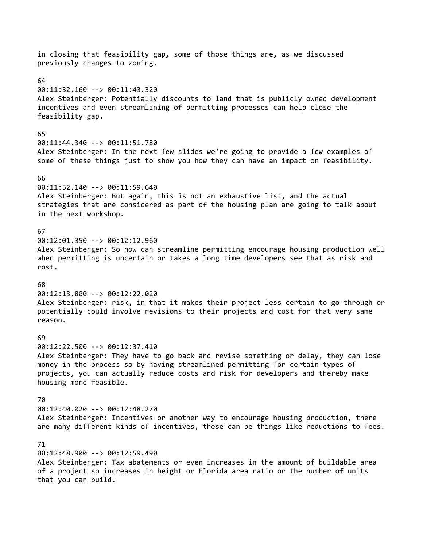in closing that feasibility gap, some of those things are, as we discussed previously changes to zoning. 64 00:11:32.160 --> 00:11:43.320 Alex Steinberger: Potentially discounts to land that is publicly owned development incentives and even streamlining of permitting processes can help close the feasibility gap. 65 00:11:44.340 --> 00:11:51.780 Alex Steinberger: In the next few slides we're going to provide a few examples of some of these things just to show you how they can have an impact on feasibility. 66 00:11:52.140 --> 00:11:59.640 Alex Steinberger: But again, this is not an exhaustive list, and the actual strategies that are considered as part of the housing plan are going to talk about in the next workshop. 67 00:12:01.350 --> 00:12:12.960 Alex Steinberger: So how can streamline permitting encourage housing production well when permitting is uncertain or takes a long time developers see that as risk and cost. 68 00:12:13.800 --> 00:12:22.020 Alex Steinberger: risk, in that it makes their project less certain to go through or potentially could involve revisions to their projects and cost for that very same reason. 69 00:12:22.500 --> 00:12:37.410 Alex Steinberger: They have to go back and revise something or delay, they can lose money in the process so by having streamlined permitting for certain types of projects, you can actually reduce costs and risk for developers and thereby make housing more feasible. 70 00:12:40.020 --> 00:12:48.270 Alex Steinberger: Incentives or another way to encourage housing production, there are many different kinds of incentives, these can be things like reductions to fees. 71 00:12:48.900 --> 00:12:59.490 Alex Steinberger: Tax abatements or even increases in the amount of buildable area of a project so increases in height or Florida area ratio or the number of units

that you can build.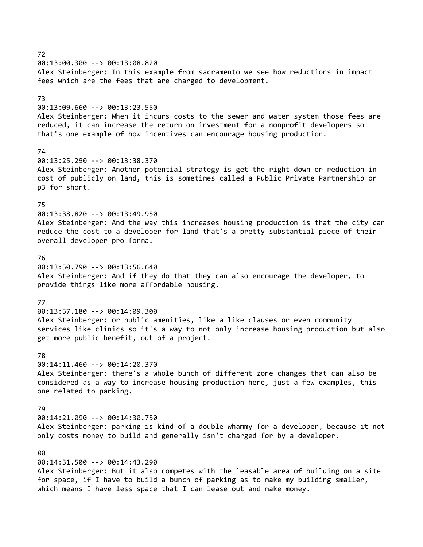72 00:13:00.300 --> 00:13:08.820 Alex Steinberger: In this example from sacramento we see how reductions in impact fees which are the fees that are charged to development. 73 00:13:09.660 --> 00:13:23.550 Alex Steinberger: When it incurs costs to the sewer and water system those fees are reduced, it can increase the return on investment for a nonprofit developers so that's one example of how incentives can encourage housing production. 74 00:13:25.290 --> 00:13:38.370 Alex Steinberger: Another potential strategy is get the right down or reduction in cost of publicly on land, this is sometimes called a Public Private Partnership or p3 for short. 75 00:13:38.820 --> 00:13:49.950 Alex Steinberger: And the way this increases housing production is that the city can reduce the cost to a developer for land that's a pretty substantial piece of their overall developer pro forma. 76 00:13:50.790 --> 00:13:56.640 Alex Steinberger: And if they do that they can also encourage the developer, to provide things like more affordable housing. 77 00:13:57.180 --> 00:14:09.300 Alex Steinberger: or public amenities, like a like clauses or even community services like clinics so it's a way to not only increase housing production but also get more public benefit, out of a project. 78 00:14:11.460 --> 00:14:20.370 Alex Steinberger: there's a whole bunch of different zone changes that can also be considered as a way to increase housing production here, just a few examples, this one related to parking. 79 00:14:21.090 --> 00:14:30.750 Alex Steinberger: parking is kind of a double whammy for a developer, because it not only costs money to build and generally isn't charged for by a developer. 80 00:14:31.500 --> 00:14:43.290 Alex Steinberger: But it also competes with the leasable area of building on a site for space, if I have to build a bunch of parking as to make my building smaller,

which means I have less space that I can lease out and make money.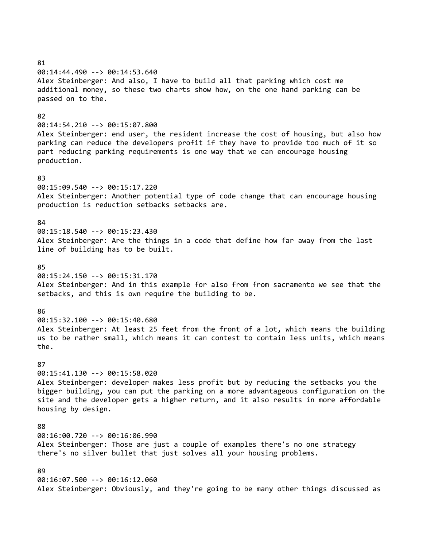81 00:14:44.490 --> 00:14:53.640 Alex Steinberger: And also, I have to build all that parking which cost me additional money, so these two charts show how, on the one hand parking can be passed on to the. 82 00:14:54.210 --> 00:15:07.800 Alex Steinberger: end user, the resident increase the cost of housing, but also how parking can reduce the developers profit if they have to provide too much of it so part reducing parking requirements is one way that we can encourage housing production. 83 00:15:09.540 --> 00:15:17.220 Alex Steinberger: Another potential type of code change that can encourage housing production is reduction setbacks setbacks are. 84 00:15:18.540 --> 00:15:23.430 Alex Steinberger: Are the things in a code that define how far away from the last line of building has to be built. 85 00:15:24.150 --> 00:15:31.170 Alex Steinberger: And in this example for also from from sacramento we see that the setbacks, and this is own require the building to be. 86 00:15:32.100 --> 00:15:40.680 Alex Steinberger: At least 25 feet from the front of a lot, which means the building us to be rather small, which means it can contest to contain less units, which means the. 87 00:15:41.130 --> 00:15:58.020 Alex Steinberger: developer makes less profit but by reducing the setbacks you the bigger building, you can put the parking on a more advantageous configuration on the site and the developer gets a higher return, and it also results in more affordable housing by design. 88 00:16:00.720 --> 00:16:06.990 Alex Steinberger: Those are just a couple of examples there's no one strategy there's no silver bullet that just solves all your housing problems. 89 00:16:07.500 --> 00:16:12.060 Alex Steinberger: Obviously, and they're going to be many other things discussed as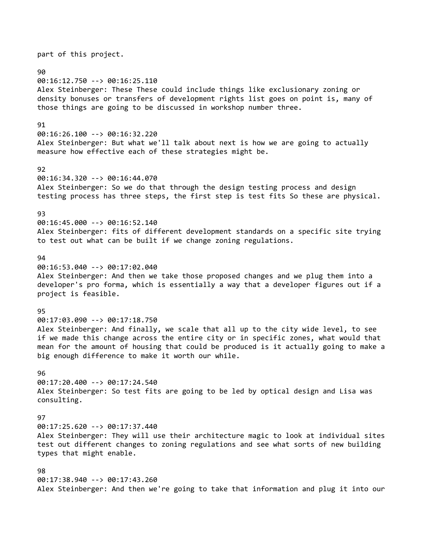part of this project. 90 00:16:12.750 --> 00:16:25.110 Alex Steinberger: These These could include things like exclusionary zoning or density bonuses or transfers of development rights list goes on point is, many of those things are going to be discussed in workshop number three. 91 00:16:26.100 --> 00:16:32.220 Alex Steinberger: But what we'll talk about next is how we are going to actually measure how effective each of these strategies might be. 92 00:16:34.320 --> 00:16:44.070 Alex Steinberger: So we do that through the design testing process and design testing process has three steps, the first step is test fits So these are physical. 93 00:16:45.000 --> 00:16:52.140 Alex Steinberger: fits of different development standards on a specific site trying to test out what can be built if we change zoning regulations.  $Q_{\Lambda}$ 00:16:53.040 --> 00:17:02.040 Alex Steinberger: And then we take those proposed changes and we plug them into a developer's pro forma, which is essentially a way that a developer figures out if a project is feasible. 95 00:17:03.090 --> 00:17:18.750 Alex Steinberger: And finally, we scale that all up to the city wide level, to see if we made this change across the entire city or in specific zones, what would that mean for the amount of housing that could be produced is it actually going to make a big enough difference to make it worth our while. 96 00:17:20.400 --> 00:17:24.540 Alex Steinberger: So test fits are going to be led by optical design and Lisa was consulting. 97 00:17:25.620 --> 00:17:37.440 Alex Steinberger: They will use their architecture magic to look at individual sites test out different changes to zoning regulations and see what sorts of new building types that might enable. 98 00:17:38.940 --> 00:17:43.260 Alex Steinberger: And then we're going to take that information and plug it into our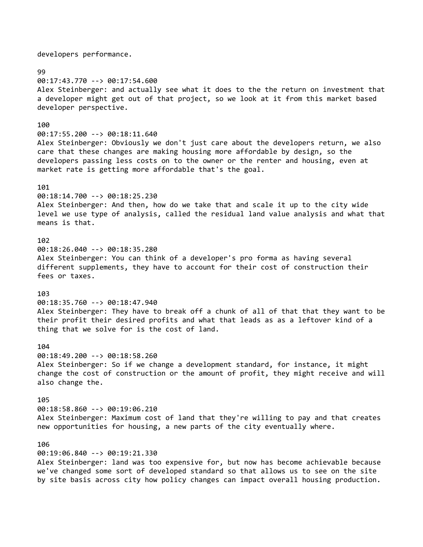developers performance.

# 99

00:17:43.770 --> 00:17:54.600 Alex Steinberger: and actually see what it does to the the return on investment that a developer might get out of that project, so we look at it from this market based developer perspective.

# 100

00:17:55.200 --> 00:18:11.640 Alex Steinberger: Obviously we don't just care about the developers return, we also care that these changes are making housing more affordable by design, so the developers passing less costs on to the owner or the renter and housing, even at market rate is getting more affordable that's the goal.

### 101

00:18:14.700 --> 00:18:25.230 Alex Steinberger: And then, how do we take that and scale it up to the city wide level we use type of analysis, called the residual land value analysis and what that means is that.

# 102

00:18:26.040 --> 00:18:35.280 Alex Steinberger: You can think of a developer's pro forma as having several different supplements, they have to account for their cost of construction their fees or taxes.

### 103

00:18:35.760 --> 00:18:47.940 Alex Steinberger: They have to break off a chunk of all of that that they want to be their profit their desired profits and what that leads as as a leftover kind of a thing that we solve for is the cost of land.

### 104

00:18:49.200 --> 00:18:58.260 Alex Steinberger: So if we change a development standard, for instance, it might change the cost of construction or the amount of profit, they might receive and will also change the.

# 105

00:18:58.860 --> 00:19:06.210 Alex Steinberger: Maximum cost of land that they're willing to pay and that creates new opportunities for housing, a new parts of the city eventually where.

#### 106

00:19:06.840 --> 00:19:21.330

Alex Steinberger: land was too expensive for, but now has become achievable because we've changed some sort of developed standard so that allows us to see on the site by site basis across city how policy changes can impact overall housing production.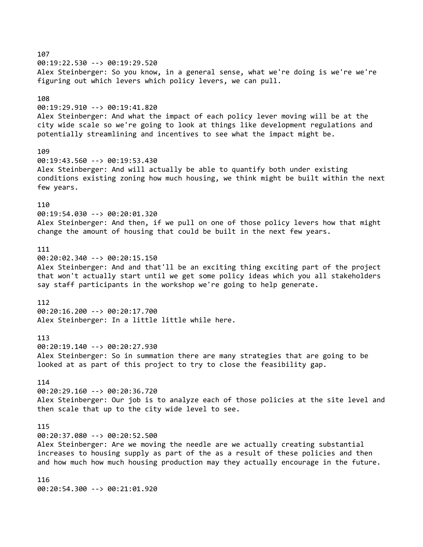107 00:19:22.530 --> 00:19:29.520 Alex Steinberger: So you know, in a general sense, what we're doing is we're we're figuring out which levers which policy levers, we can pull. 108 00:19:29.910 --> 00:19:41.820 Alex Steinberger: And what the impact of each policy lever moving will be at the city wide scale so we're going to look at things like development regulations and potentially streamlining and incentives to see what the impact might be. 109 00:19:43.560 --> 00:19:53.430 Alex Steinberger: And will actually be able to quantify both under existing conditions existing zoning how much housing, we think might be built within the next few years. 110 00:19:54.030 --> 00:20:01.320 Alex Steinberger: And then, if we pull on one of those policy levers how that might change the amount of housing that could be built in the next few years. 111 00:20:02.340 --> 00:20:15.150 Alex Steinberger: And and that'll be an exciting thing exciting part of the project that won't actually start until we get some policy ideas which you all stakeholders say staff participants in the workshop we're going to help generate. 112 00:20:16.200 --> 00:20:17.700 Alex Steinberger: In a little little while here. 113 00:20:19.140 --> 00:20:27.930 Alex Steinberger: So in summation there are many strategies that are going to be looked at as part of this project to try to close the feasibility gap. 114 00:20:29.160 --> 00:20:36.720 Alex Steinberger: Our job is to analyze each of those policies at the site level and then scale that up to the city wide level to see. 115 00:20:37.080 --> 00:20:52.500 Alex Steinberger: Are we moving the needle are we actually creating substantial increases to housing supply as part of the as a result of these policies and then and how much how much housing production may they actually encourage in the future. 116 00:20:54.300 --> 00:21:01.920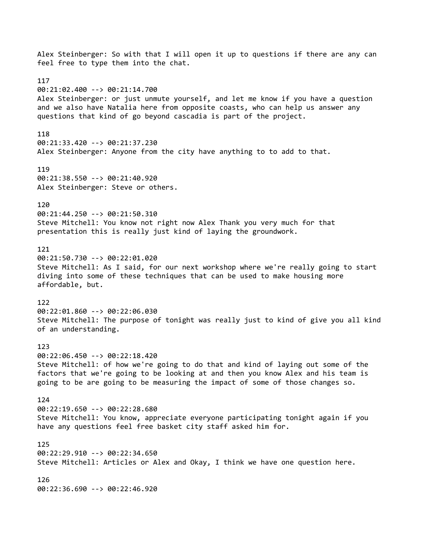Alex Steinberger: So with that I will open it up to questions if there are any can feel free to type them into the chat. 117 00:21:02.400 --> 00:21:14.700 Alex Steinberger: or just unmute yourself, and let me know if you have a question and we also have Natalia here from opposite coasts, who can help us answer any questions that kind of go beyond cascadia is part of the project. 118 00:21:33.420 --> 00:21:37.230 Alex Steinberger: Anyone from the city have anything to to add to that. 119 00:21:38.550 --> 00:21:40.920 Alex Steinberger: Steve or others. 120 00:21:44.250 --> 00:21:50.310 Steve Mitchell: You know not right now Alex Thank you very much for that presentation this is really just kind of laying the groundwork. 121 00:21:50.730 --> 00:22:01.020 Steve Mitchell: As I said, for our next workshop where we're really going to start diving into some of these techniques that can be used to make housing more affordable, but. 122 00:22:01.860 --> 00:22:06.030 Steve Mitchell: The purpose of tonight was really just to kind of give you all kind of an understanding. 123 00:22:06.450 --> 00:22:18.420 Steve Mitchell: of how we're going to do that and kind of laying out some of the factors that we're going to be looking at and then you know Alex and his team is going to be are going to be measuring the impact of some of those changes so. 124 00:22:19.650 --> 00:22:28.680 Steve Mitchell: You know, appreciate everyone participating tonight again if you have any questions feel free basket city staff asked him for. 125 00:22:29.910 --> 00:22:34.650 Steve Mitchell: Articles or Alex and Okay, I think we have one question here. 126 00:22:36.690 --> 00:22:46.920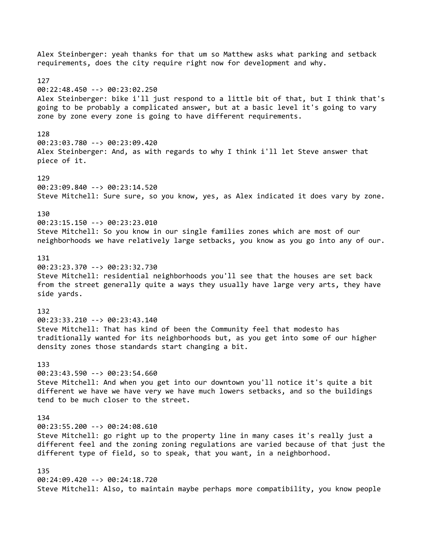Alex Steinberger: yeah thanks for that um so Matthew asks what parking and setback requirements, does the city require right now for development and why. 127 00:22:48.450 --> 00:23:02.250 Alex Steinberger: bike i'll just respond to a little bit of that, but I think that's going to be probably a complicated answer, but at a basic level it's going to vary zone by zone every zone is going to have different requirements. 128 00:23:03.780 --> 00:23:09.420 Alex Steinberger: And, as with regards to why I think i'll let Steve answer that piece of it. 129 00:23:09.840 --> 00:23:14.520 Steve Mitchell: Sure sure, so you know, yes, as Alex indicated it does vary by zone. 130 00:23:15.150 --> 00:23:23.010 Steve Mitchell: So you know in our single families zones which are most of our neighborhoods we have relatively large setbacks, you know as you go into any of our. 131 00:23:23.370 --> 00:23:32.730 Steve Mitchell: residential neighborhoods you'll see that the houses are set back from the street generally quite a ways they usually have large very arts, they have side yards. 132 00:23:33.210 --> 00:23:43.140 Steve Mitchell: That has kind of been the Community feel that modesto has traditionally wanted for its neighborhoods but, as you get into some of our higher density zones those standards start changing a bit. 133 00:23:43.590 --> 00:23:54.660 Steve Mitchell: And when you get into our downtown you'll notice it's quite a bit different we have we have very we have much lowers setbacks, and so the buildings tend to be much closer to the street. 134 00:23:55.200 --> 00:24:08.610 Steve Mitchell: go right up to the property line in many cases it's really just a different feel and the zoning zoning regulations are varied because of that just the different type of field, so to speak, that you want, in a neighborhood. 135 00:24:09.420 --> 00:24:18.720 Steve Mitchell: Also, to maintain maybe perhaps more compatibility, you know people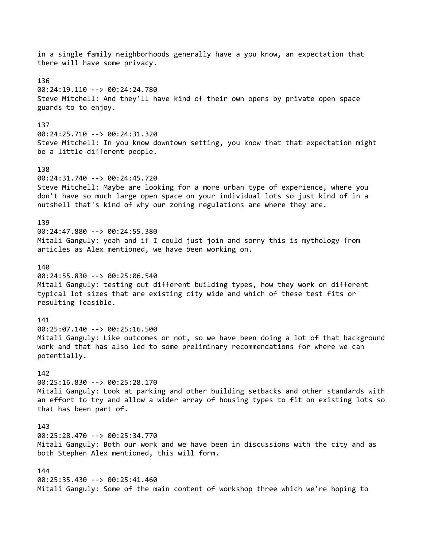in a single family neighborhoods generally have a you know, an expectation that there will have some privacy. 136 00:24:19.110 --> 00:24:24.780 Steve Mitchell: And they'll have kind of their own opens by private open space guards to to enjoy. 137 00:24:25.710 --> 00:24:31.320 Steve Mitchell: In you know downtown setting, you know that that expectation might be a little different people. 138 00:24:31.740 --> 00:24:45.720 Steve Mitchell: Maybe are looking for a more urban type of experience, where you don't have so much large open space on your individual lots so just kind of in a nutshell that's kind of why our zoning regulations are where they are. 139 00:24:47.880 --> 00:24:55.380 Mitali Ganguly: yeah and if I could just join and sorry this is mythology from articles as Alex mentioned, we have been working on. 140 00:24:55.830 --> 00:25:06.540 Mitali Ganguly: testing out different building types, how they work on different typical lot sizes that are existing city wide and which of these test fits or resulting feasible. 141 00:25:07.140 --> 00:25:16.500 Mitali Ganguly: Like outcomes or not, so we have been doing a lot of that background work and that has also led to some preliminary recommendations for where we can potentially. 142 00:25:16.830 --> 00:25:28.170 Mitali Ganguly: Look at parking and other building setbacks and other standards with an effort to try and allow a wider array of housing types to fit on existing lots so that has been part of. 143 00:25:28.470 --> 00:25:34.770 Mitali Ganguly: Both our work and we have been in discussions with the city and as both Stephen Alex mentioned, this will form. 144 00:25:35.430 --> 00:25:41.460 Mitali Ganguly: Some of the main content of workshop three which we're hoping to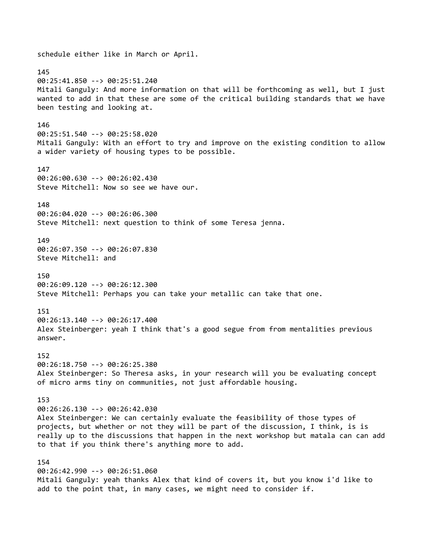schedule either like in March or April. 145 00:25:41.850 --> 00:25:51.240 Mitali Ganguly: And more information on that will be forthcoming as well, but I just wanted to add in that these are some of the critical building standards that we have been testing and looking at. 146 00:25:51.540 --> 00:25:58.020 Mitali Ganguly: With an effort to try and improve on the existing condition to allow a wider variety of housing types to be possible. 147 00:26:00.630 --> 00:26:02.430 Steve Mitchell: Now so see we have our. 148 00:26:04.020 --> 00:26:06.300 Steve Mitchell: next question to think of some Teresa jenna. 149 00:26:07.350 --> 00:26:07.830 Steve Mitchell: and 150 00:26:09.120 --> 00:26:12.300 Steve Mitchell: Perhaps you can take your metallic can take that one. 151 00:26:13.140 --> 00:26:17.400 Alex Steinberger: yeah I think that's a good segue from from mentalities previous answer. 152 00:26:18.750 --> 00:26:25.380 Alex Steinberger: So Theresa asks, in your research will you be evaluating concept of micro arms tiny on communities, not just affordable housing. 153 00:26:26.130 --> 00:26:42.030 Alex Steinberger: We can certainly evaluate the feasibility of those types of projects, but whether or not they will be part of the discussion, I think, is is really up to the discussions that happen in the next workshop but matala can can add to that if you think there's anything more to add. 154 00:26:42.990 --> 00:26:51.060 Mitali Ganguly: yeah thanks Alex that kind of covers it, but you know i'd like to add to the point that, in many cases, we might need to consider if.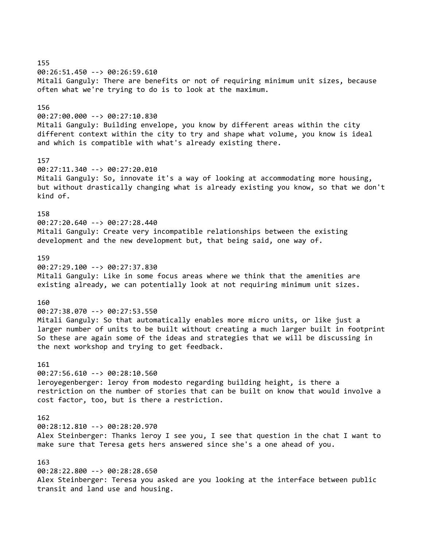00:26:51.450 --> 00:26:59.610 Mitali Ganguly: There are benefits or not of requiring minimum unit sizes, because often what we're trying to do is to look at the maximum.

### 156

00:27:00.000 --> 00:27:10.830

Mitali Ganguly: Building envelope, you know by different areas within the city different context within the city to try and shape what volume, you know is ideal and which is compatible with what's already existing there.

#### 157

00:27:11.340 --> 00:27:20.010 Mitali Ganguly: So, innovate it's a way of looking at accommodating more housing, but without drastically changing what is already existing you know, so that we don't kind of.

### 158

00:27:20.640 --> 00:27:28.440 Mitali Ganguly: Create very incompatible relationships between the existing development and the new development but, that being said, one way of.

# 159

00:27:29.100 --> 00:27:37.830 Mitali Ganguly: Like in some focus areas where we think that the amenities are existing already, we can potentially look at not requiring minimum unit sizes.

### 160

00:27:38.070 --> 00:27:53.550

Mitali Ganguly: So that automatically enables more micro units, or like just a larger number of units to be built without creating a much larger built in footprint So these are again some of the ideas and strategies that we will be discussing in the next workshop and trying to get feedback.

#### 161

00:27:56.610 --> 00:28:10.560 leroyegenberger: leroy from modesto regarding building height, is there a restriction on the number of stories that can be built on know that would involve a cost factor, too, but is there a restriction.

# 162

00:28:12.810 --> 00:28:20.970

Alex Steinberger: Thanks leroy I see you, I see that question in the chat I want to make sure that Teresa gets hers answered since she's a one ahead of you.

#### 163

00:28:22.800 --> 00:28:28.650

Alex Steinberger: Teresa you asked are you looking at the interface between public transit and land use and housing.

### 155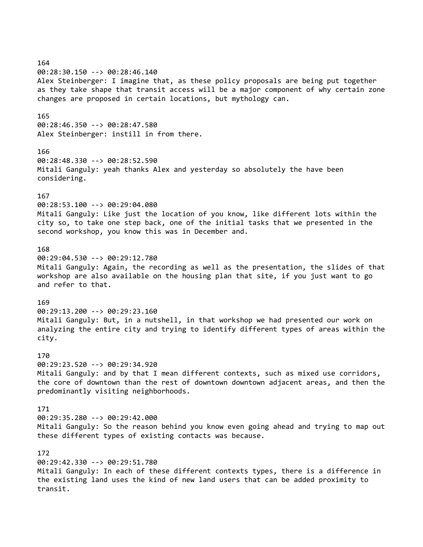164 00:28:30.150 --> 00:28:46.140 Alex Steinberger: I imagine that, as these policy proposals are being put together as they take shape that transit access will be a major component of why certain zone changes are proposed in certain locations, but mythology can. 165 00:28:46.350 --> 00:28:47.580 Alex Steinberger: instill in from there. 166 00:28:48.330 --> 00:28:52.590 Mitali Ganguly: yeah thanks Alex and yesterday so absolutely the have been considering. 167 00:28:53.100 --> 00:29:04.080 Mitali Ganguly: Like just the location of you know, like different lots within the city so, to take one step back, one of the initial tasks that we presented in the second workshop, you know this was in December and. 168 00:29:04.530 --> 00:29:12.780 Mitali Ganguly: Again, the recording as well as the presentation, the slides of that workshop are also available on the housing plan that site, if you just want to go and refer to that. 169 00:29:13.200 --> 00:29:23.160 Mitali Ganguly: But, in a nutshell, in that workshop we had presented our work on analyzing the entire city and trying to identify different types of areas within the city. 170 00:29:23.520 --> 00:29:34.920 Mitali Ganguly: and by that I mean different contexts, such as mixed use corridors, the core of downtown than the rest of downtown downtown adjacent areas, and then the predominantly visiting neighborhoods. 171 00:29:35.280 --> 00:29:42.000 Mitali Ganguly: So the reason behind you know even going ahead and trying to map out these different types of existing contacts was because. 172 00:29:42.330 --> 00:29:51.780 Mitali Ganguly: In each of these different contexts types, there is a difference in the existing land uses the kind of new land users that can be added proximity to transit.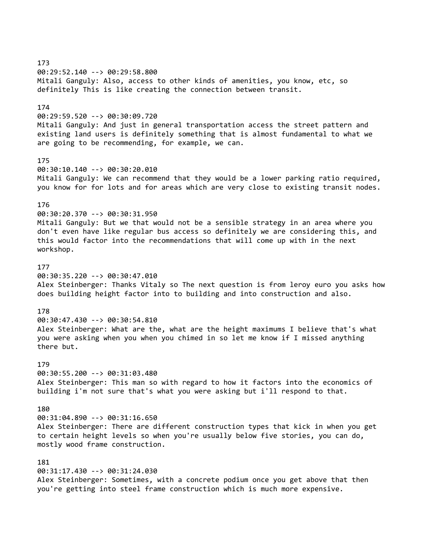173 00:29:52.140 --> 00:29:58.800 Mitali Ganguly: Also, access to other kinds of amenities, you know, etc, so definitely This is like creating the connection between transit. 174 00:29:59.520 --> 00:30:09.720 Mitali Ganguly: And just in general transportation access the street pattern and existing land users is definitely something that is almost fundamental to what we are going to be recommending, for example, we can. 175 00:30:10.140 --> 00:30:20.010 Mitali Ganguly: We can recommend that they would be a lower parking ratio required, you know for for lots and for areas which are very close to existing transit nodes. 176 00:30:20.370 --> 00:30:31.950 Mitali Ganguly: But we that would not be a sensible strategy in an area where you don't even have like regular bus access so definitely we are considering this, and this would factor into the recommendations that will come up with in the next workshop. 177 00:30:35.220 --> 00:30:47.010 Alex Steinberger: Thanks Vitaly so The next question is from leroy euro you asks how does building height factor into to building and into construction and also. 178 00:30:47.430 --> 00:30:54.810 Alex Steinberger: What are the, what are the height maximums I believe that's what you were asking when you when you chimed in so let me know if I missed anything there but. 179 00:30:55.200 --> 00:31:03.480 Alex Steinberger: This man so with regard to how it factors into the economics of building i'm not sure that's what you were asking but i'll respond to that. 180 00:31:04.890 --> 00:31:16.650 Alex Steinberger: There are different construction types that kick in when you get to certain height levels so when you're usually below five stories, you can do, mostly wood frame construction. 181 00:31:17.430 --> 00:31:24.030 Alex Steinberger: Sometimes, with a concrete podium once you get above that then you're getting into steel frame construction which is much more expensive.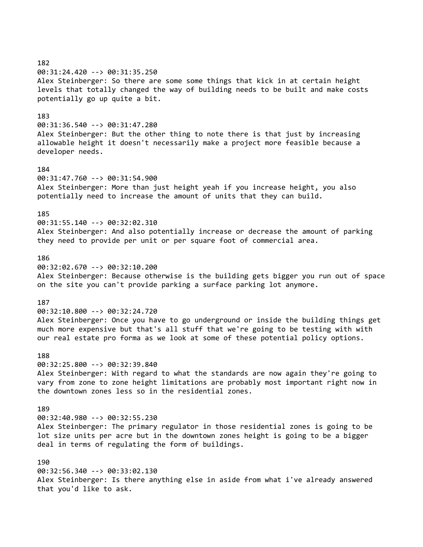182 00:31:24.420 --> 00:31:35.250 Alex Steinberger: So there are some some things that kick in at certain height levels that totally changed the way of building needs to be built and make costs potentially go up quite a bit.

# 183

00:31:36.540 --> 00:31:47.280

Alex Steinberger: But the other thing to note there is that just by increasing allowable height it doesn't necessarily make a project more feasible because a developer needs.

#### 184

00:31:47.760 --> 00:31:54.900 Alex Steinberger: More than just height yeah if you increase height, you also potentially need to increase the amount of units that they can build.

# 185

00:31:55.140 --> 00:32:02.310 Alex Steinberger: And also potentially increase or decrease the amount of parking they need to provide per unit or per square foot of commercial area.

# 186

00:32:02.670 --> 00:32:10.200 Alex Steinberger: Because otherwise is the building gets bigger you run out of space on the site you can't provide parking a surface parking lot anymore.

### 187

00:32:10.800 --> 00:32:24.720

Alex Steinberger: Once you have to go underground or inside the building things get much more expensive but that's all stuff that we're going to be testing with with our real estate pro forma as we look at some of these potential policy options.

### 188

00:32:25.800 --> 00:32:39.840

Alex Steinberger: With regard to what the standards are now again they're going to vary from zone to zone height limitations are probably most important right now in the downtown zones less so in the residential zones.

### 189

00:32:40.980 --> 00:32:55.230

Alex Steinberger: The primary regulator in those residential zones is going to be lot size units per acre but in the downtown zones height is going to be a bigger deal in terms of regulating the form of buildings.

#### 190

00:32:56.340 --> 00:33:02.130 Alex Steinberger: Is there anything else in aside from what i've already answered that you'd like to ask.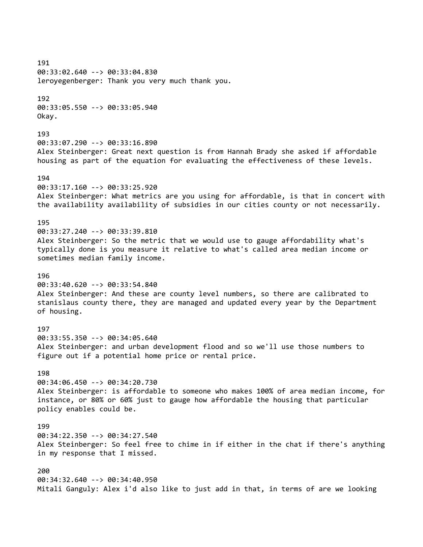191 00:33:02.640 --> 00:33:04.830 leroyegenberger: Thank you very much thank you. 192 00:33:05.550 --> 00:33:05.940 Okay. 193 00:33:07.290 --> 00:33:16.890 Alex Steinberger: Great next question is from Hannah Brady she asked if affordable housing as part of the equation for evaluating the effectiveness of these levels. 194 00:33:17.160 --> 00:33:25.920 Alex Steinberger: What metrics are you using for affordable, is that in concert with the availability availability of subsidies in our cities county or not necessarily. 195 00:33:27.240 --> 00:33:39.810 Alex Steinberger: So the metric that we would use to gauge affordability what's typically done is you measure it relative to what's called area median income or sometimes median family income. 196 00:33:40.620 --> 00:33:54.840 Alex Steinberger: And these are county level numbers, so there are calibrated to stanislaus county there, they are managed and updated every year by the Department of housing. 197 00:33:55.350 --> 00:34:05.640 Alex Steinberger: and urban development flood and so we'll use those numbers to figure out if a potential home price or rental price. 198 00:34:06.450 --> 00:34:20.730 Alex Steinberger: is affordable to someone who makes 100% of area median income, for instance, or 80% or 60% just to gauge how affordable the housing that particular policy enables could be. 199 00:34:22.350 --> 00:34:27.540 Alex Steinberger: So feel free to chime in if either in the chat if there's anything in my response that I missed. 200 00:34:32.640 --> 00:34:40.950 Mitali Ganguly: Alex i'd also like to just add in that, in terms of are we looking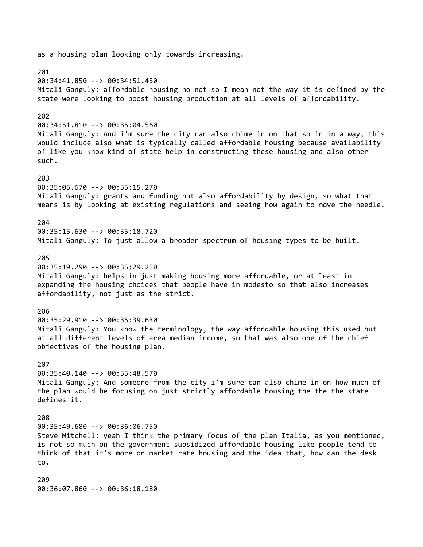as a housing plan looking only towards increasing. 201 00:34:41.850 --> 00:34:51.450 Mitali Ganguly: affordable housing no not so I mean not the way it is defined by the state were looking to boost housing production at all levels of affordability. 202 00:34:51.810 --> 00:35:04.560 Mitali Ganguly: And i'm sure the city can also chime in on that so in in a way, this would include also what is typically called affordable housing because availability of like you know kind of state help in constructing these housing and also other such. 203 00:35:05.670 --> 00:35:15.270 Mitali Ganguly: grants and funding but also affordability by design, so what that means is by looking at existing regulations and seeing how again to move the needle. 204 00:35:15.630 --> 00:35:18.720 Mitali Ganguly: To just allow a broader spectrum of housing types to be built. 205 00:35:19.290 --> 00:35:29.250 Mitali Ganguly: helps in just making housing more affordable, or at least in expanding the housing choices that people have in modesto so that also increases affordability, not just as the strict. 206 00:35:29.910 --> 00:35:39.630 Mitali Ganguly: You know the terminology, the way affordable housing this used but at all different levels of area median income, so that was also one of the chief objectives of the housing plan. 207 00:35:40.140 --> 00:35:48.570 Mitali Ganguly: And someone from the city i'm sure can also chime in on how much of the plan would be focusing on just strictly affordable housing the the the state defines it. 208 00:35:49.680 --> 00:36:06.750 Steve Mitchell: yeah I think the primary focus of the plan Italia, as you mentioned, is not so much on the government subsidized affordable housing like people tend to think of that it's more on market rate housing and the idea that, how can the desk to. 209 00:36:07.860 --> 00:36:18.180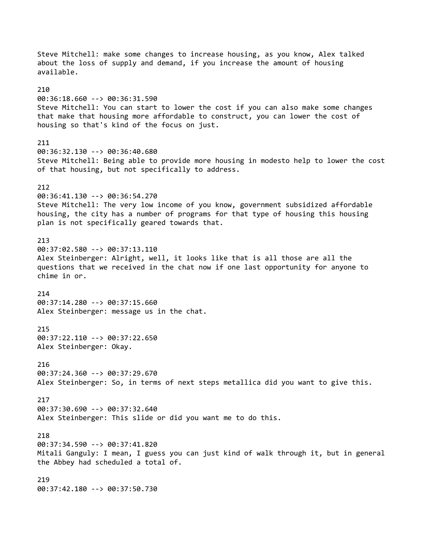Steve Mitchell: make some changes to increase housing, as you know, Alex talked about the loss of supply and demand, if you increase the amount of housing available. 210 00:36:18.660 --> 00:36:31.590 Steve Mitchell: You can start to lower the cost if you can also make some changes that make that housing more affordable to construct, you can lower the cost of housing so that's kind of the focus on just. 211 00:36:32.130 --> 00:36:40.680 Steve Mitchell: Being able to provide more housing in modesto help to lower the cost of that housing, but not specifically to address. 212 00:36:41.130 --> 00:36:54.270 Steve Mitchell: The very low income of you know, government subsidized affordable housing, the city has a number of programs for that type of housing this housing plan is not specifically geared towards that. 213 00:37:02.580 --> 00:37:13.110 Alex Steinberger: Alright, well, it looks like that is all those are all the questions that we received in the chat now if one last opportunity for anyone to chime in or. 214 00:37:14.280 --> 00:37:15.660 Alex Steinberger: message us in the chat. 215 00:37:22.110 --> 00:37:22.650 Alex Steinberger: Okay. 216 00:37:24.360 --> 00:37:29.670 Alex Steinberger: So, in terms of next steps metallica did you want to give this. 217 00:37:30.690 --> 00:37:32.640 Alex Steinberger: This slide or did you want me to do this. 218 00:37:34.590 --> 00:37:41.820 Mitali Ganguly: I mean, I guess you can just kind of walk through it, but in general the Abbey had scheduled a total of. 219 00:37:42.180 --> 00:37:50.730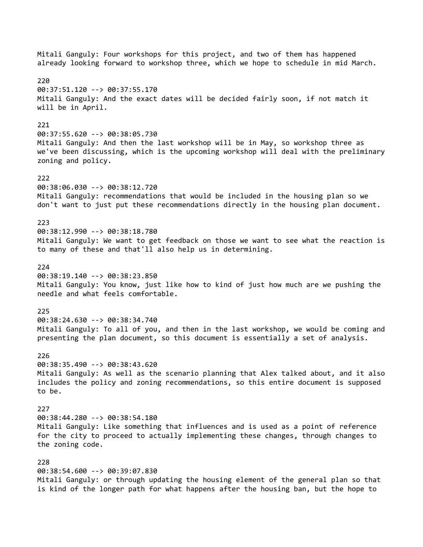Mitali Ganguly: Four workshops for this project, and two of them has happened already looking forward to workshop three, which we hope to schedule in mid March. 220 00:37:51.120 --> 00:37:55.170 Mitali Ganguly: And the exact dates will be decided fairly soon, if not match it will be in April. 221 00:37:55.620 --> 00:38:05.730 Mitali Ganguly: And then the last workshop will be in May, so workshop three as we've been discussing, which is the upcoming workshop will deal with the preliminary zoning and policy. 222 00:38:06.030 --> 00:38:12.720 Mitali Ganguly: recommendations that would be included in the housing plan so we don't want to just put these recommendations directly in the housing plan document. 223 00:38:12.990 --> 00:38:18.780 Mitali Ganguly: We want to get feedback on those we want to see what the reaction is to many of these and that'll also help us in determining. 224 00:38:19.140 --> 00:38:23.850 Mitali Ganguly: You know, just like how to kind of just how much are we pushing the needle and what feels comfortable. 225 00:38:24.630 --> 00:38:34.740 Mitali Ganguly: To all of you, and then in the last workshop, we would be coming and presenting the plan document, so this document is essentially a set of analysis. 226 00:38:35.490 --> 00:38:43.620 Mitali Ganguly: As well as the scenario planning that Alex talked about, and it also includes the policy and zoning recommendations, so this entire document is supposed to be. 227 00:38:44.280 --> 00:38:54.180 Mitali Ganguly: Like something that influences and is used as a point of reference for the city to proceed to actually implementing these changes, through changes to the zoning code. 228 00:38:54.600 --> 00:39:07.830 Mitali Ganguly: or through updating the housing element of the general plan so that is kind of the longer path for what happens after the housing ban, but the hope to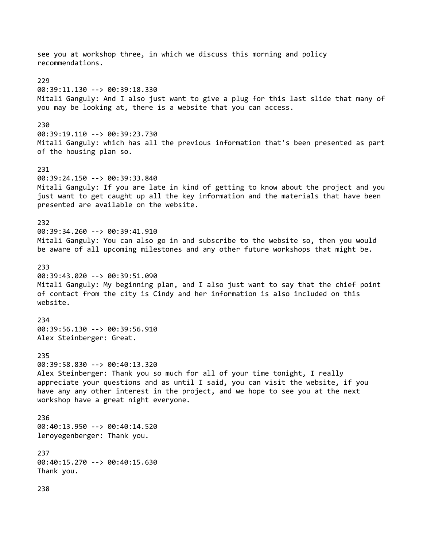see you at workshop three, in which we discuss this morning and policy recommendations. 229 00:39:11.130 --> 00:39:18.330 Mitali Ganguly: And I also just want to give a plug for this last slide that many of you may be looking at, there is a website that you can access. 230 00:39:19.110 --> 00:39:23.730 Mitali Ganguly: which has all the previous information that's been presented as part of the housing plan so. 231 00:39:24.150 --> 00:39:33.840 Mitali Ganguly: If you are late in kind of getting to know about the project and you just want to get caught up all the key information and the materials that have been presented are available on the website. 232 00:39:34.260 --> 00:39:41.910 Mitali Ganguly: You can also go in and subscribe to the website so, then you would be aware of all upcoming milestones and any other future workshops that might be. 233 00:39:43.020 --> 00:39:51.090 Mitali Ganguly: My beginning plan, and I also just want to say that the chief point of contact from the city is Cindy and her information is also included on this website. 234 00:39:56.130 --> 00:39:56.910 Alex Steinberger: Great. 235 00:39:58.830 --> 00:40:13.320 Alex Steinberger: Thank you so much for all of your time tonight, I really appreciate your questions and as until I said, you can visit the website, if you have any any other interest in the project, and we hope to see you at the next workshop have a great night everyone. 236 00:40:13.950 --> 00:40:14.520 leroyegenberger: Thank you. 237 00:40:15.270 --> 00:40:15.630 Thank you. 238